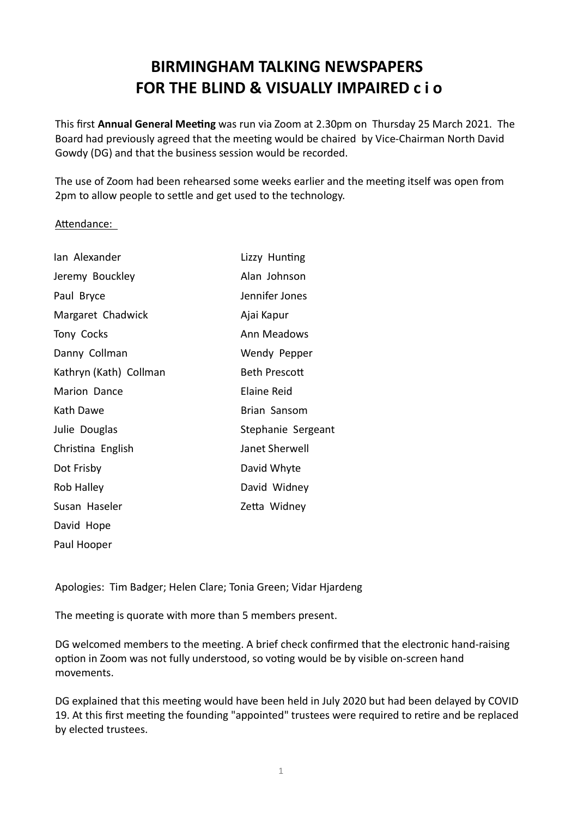## BIRMINGHAM TALKING NEWSPAPERS FOR THE BLIND & VISUALLY IMPAIRED c i o

This first Annual General Meeting was run via Zoom at 2.30pm on Thursday 25 March 2021. The Board had previously agreed that the meeting would be chaired by Vice-Chairman North David Gowdy (DG) and that the business session would be recorded.

The use of Zoom had been rehearsed some weeks earlier and the meeting itself was open from 2pm to allow people to settle and get used to the technology.

## Attendance:

| Ian Alexander          | Lizzy Hunting        |
|------------------------|----------------------|
| Jeremy Bouckley        | Alan Johnson         |
| Paul Bryce             | Jennifer Jones       |
| Margaret Chadwick      | Ajai Kapur           |
| Tony Cocks             | Ann Meadows          |
| Danny Collman          | Wendy Pepper         |
| Kathryn (Kath) Collman | <b>Beth Prescott</b> |
| Marion Dance           | <b>Elaine Reid</b>   |
| Kath Dawe              | Brian Sansom         |
| Julie Douglas          | Stephanie Sergeant   |
| Christina English      | Janet Sherwell       |
| Dot Frisby             | David Whyte          |
| Rob Halley             | David Widney         |
| Susan Haseler          | Zetta Widney         |
| David Hope             |                      |
| Paul Hooper            |                      |

Apologies: Tim Badger; Helen Clare; Tonia Green; Vidar Hjardeng

The meeting is quorate with more than 5 members present.

DG welcomed members to the meeting. A brief check confirmed that the electronic hand-raising option in Zoom was not fully understood, so voting would be by visible on-screen hand movements.

DG explained that this meeting would have been held in July 2020 but had been delayed by COVID 19. At this first meeting the founding "appointed" trustees were required to retire and be replaced by elected trustees.